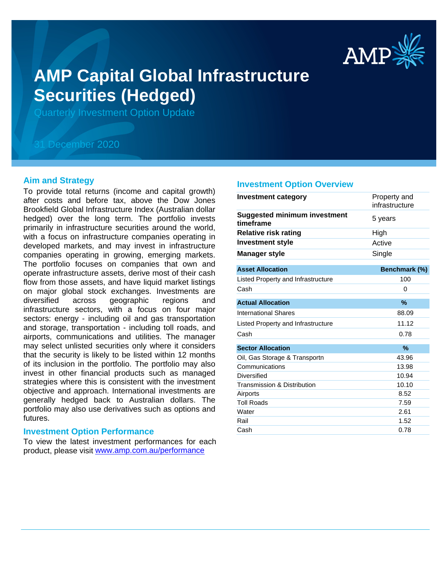

# **AMP Capital Global Infrastructure Securities (Hedged)**

Quarterly Investment Option Update

# 31 December 2020

# **Aim and Strategy**

To provide total returns (income and capital growth) after costs and before tax, above the Dow Jones Brookfield Global Infrastructure Index (Australian dollar hedged) over the long term. The portfolio invests primarily in infrastructure securities around the world, with a focus on infrastructure companies operating in developed markets, and may invest in infrastructure companies operating in growing, emerging markets. The portfolio focuses on companies that own and operate infrastructure assets, derive most of their cash flow from those assets, and have liquid market listings on major global stock exchanges. Investments are diversified across geographic regions and infrastructure sectors, with a focus on four major sectors: energy - including oil and gas transportation and storage, transportation - including toll roads, and airports, communications and utilities. The manager may select unlisted securities only where it considers that the security is likely to be listed within 12 months of its inclusion in the portfolio. The portfolio may also invest in other financial products such as managed strategies where this is consistent with the investment objective and approach. International investments are generally hedged back to Australian dollars. The portfolio may also use derivatives such as options and futures.

# **Investment Option Performance**

product, please visit www.amp.com.au/performance To view the latest investment performances for each

#### **Investment Option Overview**

| Investment category                              | Property and<br>infrastructure |
|--------------------------------------------------|--------------------------------|
| <b>Suggested minimum investment</b><br>timeframe | 5 years                        |
| <b>Relative risk rating</b>                      | High                           |
| <b>Investment style</b>                          | Active                         |
| <b>Manager style</b>                             | Single                         |
| <b>Asset Allocation</b>                          | Benchmark (%)                  |
| Listed Property and Infrastructure               | 100                            |
| Cash                                             | 0                              |
| <b>Actual Allocation</b>                         | %                              |
| <b>International Shares</b>                      | 88.09                          |
| Listed Property and Infrastructure               | 11.12                          |
| Cash                                             | 0.78                           |
| <b>Sector Allocation</b>                         | $\frac{9}{6}$                  |
| Oil, Gas Storage & Transportn                    | 43.96                          |
| Communications                                   | 13.98                          |
| Diversified                                      | 10.94                          |
| Transmission & Distribution                      | 10.10                          |
| Airports                                         | 8.52                           |
| <b>Toll Roads</b>                                | 7.59                           |
| Water                                            | 2.61                           |
| Rail                                             | 1.52                           |
| Cash                                             | 0.78                           |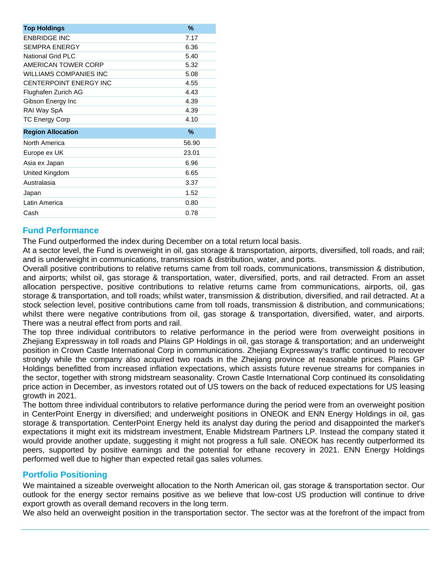| <b>Top Holdings</b>           | $\%$          |
|-------------------------------|---------------|
| <b>ENBRIDGE INC</b>           | 7.17          |
| <b>SEMPRA ENERGY</b>          | 6.36          |
| <b>National Grid PLC</b>      | 5.40          |
| <b>AMERICAN TOWER CORP</b>    | 5.32          |
| <b>WILLIAMS COMPANIES INC</b> | 5.08          |
| CENTERPOINT ENERGY INC        | 4.55          |
| Flughafen Zurich AG           | 4.43          |
| Gibson Energy Inc             | 4.39          |
| RAI Way SpA                   | 4.39          |
| <b>TC Energy Corp</b>         | 4.10          |
| <b>Region Allocation</b>      | $\frac{0}{0}$ |
| North America                 | 56.90         |
| Europe ex UK                  | 23.01         |
| Asia ex Japan                 | 6.96          |
| United Kingdom                | 6.65          |
| Australasia                   | 3.37          |
| Japan                         | 1.52          |
| Latin America                 | 0.80          |
| Cash                          | 0.78          |

# **Fund Performance**

The Fund outperformed the index during December on a total return local basis.

At a sector level, the Fund is overweight in oil, gas storage & transportation, airports, diversified, toll roads, and rail; and is underweight in communications, transmission & distribution, water, and ports.

Overall positive contributions to relative returns came from toll roads, communications, transmission & distribution, and airports; whilst oil, gas storage & transportation, water, diversified, ports, and rail detracted. From an asset allocation perspective, positive contributions to relative returns came from communications, airports, oil, gas storage & transportation, and toll roads; whilst water, transmission & distribution, diversified, and rail detracted. At a stock selection level, positive contributions came from toll roads, transmission & distribution, and communications; whilst there were negative contributions from oil, gas storage & transportation, diversified, water, and airports. There was a neutral effect from ports and rail.

The top three individual contributors to relative performance in the period were from overweight positions in Zhejiang Expressway in toll roads and Plains GP Holdings in oil, gas storage & transportation; and an underweight position in Crown Castle International Corp in communications. Zhejiang Expressway's traffic continued to recover strongly while the company also acquired two roads in the Zheijang province at reasonable prices. Plains GP Holdings benefitted from increased inflation expectations, which assists future revenue streams for companies in the sector, together with strong midstream seasonality. Crown Castle International Corp continued its consolidating price action in December, as investors rotated out of US towers on the back of reduced expectations for US leasing growth in 2021.

The bottom three individual contributors to relative performance during the period were from an overweight position in CenterPoint Energy in diversified; and underweight positions in ONEOK and ENN Energy Holdings in oil, gas storage & transportation. CenterPoint Energy held its analyst day during the period and disappointed the market's expectations it might exit its midstream investment, Enable Midstream Partners LP. Instead the company stated it would provide another update, suggesting it might not progress a full sale. ONEOK has recently outperformed its peers, supported by positive earnings and the potential for ethane recovery in 2021. ENN Energy Holdings performed well due to higher than expected retail gas sales volumes.

# **Portfolio Positioning**

We maintained a sizeable overweight allocation to the North American oil, gas storage & transportation sector. Our outlook for the energy sector remains positive as we believe that low-cost US production will continue to drive export growth as overall demand recovers in the long term.

We also held an overweight position in the transportation sector. The sector was at the forefront of the impact from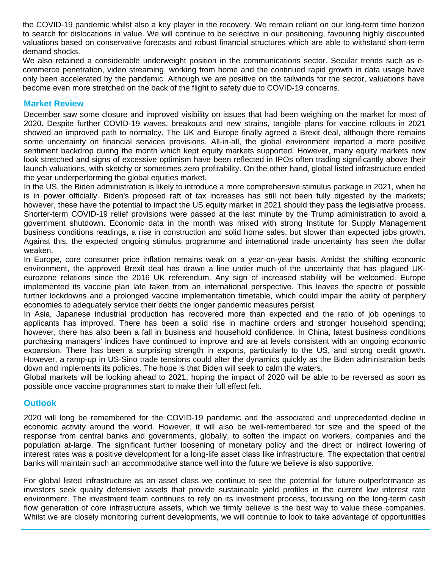the COVID-19 pandemic whilst also a key player in the recovery. We remain reliant on our long-term time horizon to search for dislocations in value. We will continue to be selective in our positioning, favouring highly discounted valuations based on conservative forecasts and robust financial structures which are able to withstand short-term demand shocks.

We also retained a considerable underweight position in the communications sector. Secular trends such as ecommerce penetration, video streaming, working from home and the continued rapid growth in data usage have only been accelerated by the pandemic. Although we are positive on the tailwinds for the sector, valuations have become even more stretched on the back of the flight to safety due to COVID-19 concerns.

# **Market Review**

December saw some closure and improved visibility on issues that had been weighing on the market for most of 2020. Despite further COVID-19 waves, breakouts and new strains, tangible plans for vaccine rollouts in 2021 showed an improved path to normalcy. The UK and Europe finally agreed a Brexit deal, although there remains some uncertainty on financial services provisions. All-in-all, the global environment imparted a more positive sentiment backdrop during the month which kept equity markets supported. However, many equity markets now look stretched and signs of excessive optimism have been reflected in IPOs often trading significantly above their launch valuations, with sketchy or sometimes zero profitability. On the other hand, global listed infrastructure ended the year underperforming the global equities market.

In the US, the Biden administration is likely to introduce a more comprehensive stimulus package in 2021, when he is in power officially. Biden's proposed raft of tax increases has still not been fully digested by the markets; however, these have the potential to impact the US equity market in 2021 should they pass the legislative process. Shorter-term COVID-19 relief provisions were passed at the last minute by the Trump administration to avoid a government shutdown. Economic data in the month was mixed with strong Institute for Supply Management business conditions readings, a rise in construction and solid home sales, but slower than expected jobs growth. Against this, the expected ongoing stimulus programme and international trade uncertainty has seen the dollar weaken.

In Europe, core consumer price inflation remains weak on a year-on-year basis. Amidst the shifting economic environment, the approved Brexit deal has drawn a line under much of the uncertainty that has plagued UKeurozone relations since the 2016 UK referendum. Any sign of increased stability will be welcomed. Europe implemented its vaccine plan late taken from an international perspective. This leaves the spectre of possible further lockdowns and a prolonged vaccine implementation timetable, which could impair the ability of periphery economies to adequately service their debts the longer pandemic measures persist.

In Asia, Japanese industrial production has recovered more than expected and the ratio of job openings to applicants has improved. There has been a solid rise in machine orders and stronger household spending; however, there has also been a fall in business and household confidence. In China, latest business conditions purchasing managers' indices have continued to improve and are at levels consistent with an ongoing economic expansion. There has been a surprising strength in exports, particularly to the US, and strong credit growth. However, a ramp-up in US-Sino trade tensions could alter the dynamics quickly as the Biden administration beds down and implements its policies. The hope is that Biden will seek to calm the waters.

Global markets will be looking ahead to 2021, hoping the impact of 2020 will be able to be reversed as soon as possible once vaccine programmes start to make their full effect felt.

# **Outlook**

2020 will long be remembered for the COVID-19 pandemic and the associated and unprecedented decline in economic activity around the world. However, it will also be well-remembered for size and the speed of the response from central banks and governments, globally, to soften the impact on workers, companies and the population at-large. The significant further loosening of monetary policy and the direct or indirect lowering of interest rates was a positive development for a long-life asset class like infrastructure. The expectation that central banks will maintain such an accommodative stance well into the future we believe is also supportive.

For global listed infrastructure as an asset class we continue to see the potential for future outperformance as investors seek quality defensive assets that provide sustainable yield profiles in the current low interest rate environment. The investment team continues to rely on its investment process, focussing on the long-term cash flow generation of core infrastructure assets, which we firmly believe is the best way to value these companies. Whilst we are closely monitoring current developments, we will continue to look to take advantage of opportunities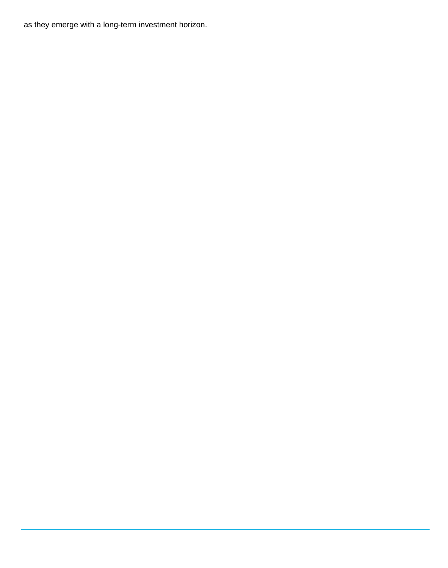as they emerge with a long-term investment horizon.